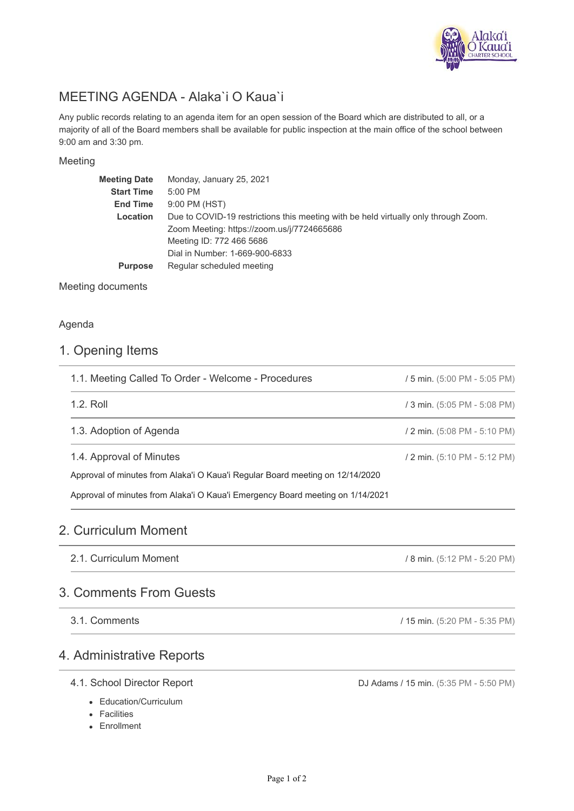

# MEETING AGENDA - Alaka`i O Kaua`i

Any public records relating to an agenda item for an open session of the Board which are distributed to all, or a majority of all of the Board members shall be available for public inspection at the main office of the school between 9:00 am and 3:30 pm.

### Meeting

| <b>Meeting Date</b> | Monday, January 25, 2021                                                            |
|---------------------|-------------------------------------------------------------------------------------|
| <b>Start Time</b>   | 5:00 PM                                                                             |
| <b>End Time</b>     | 9:00 PM (HST)                                                                       |
| Location            | Due to COVID-19 restrictions this meeting with be held virtually only through Zoom. |
|                     | Zoom Meeting: https://zoom.us/j/7724665686                                          |
|                     | Meeting ID: 772 466 5686                                                            |
|                     | Dial in Number: 1-669-900-6833                                                      |
| <b>Purpose</b>      | Regular scheduled meeting                                                           |
|                     |                                                                                     |

Meeting documents

### Agenda

## 1. Opening Items

| 1.1. Meeting Called To Order - Welcome - Procedures                            | / 5 min. (5:00 PM - 5:05 PM) |  |
|--------------------------------------------------------------------------------|------------------------------|--|
| 1.2. Roll                                                                      | / 3 min. (5:05 PM - 5:08 PM) |  |
| 1.3. Adoption of Agenda                                                        | / 2 min. (5:08 PM - 5:10 PM) |  |
| 1.4. Approval of Minutes                                                       | / 2 min. (5:10 PM - 5:12 PM) |  |
| Approval of minutes from Alaka'i O Kaua'i Regular Board meeting on 12/14/2020  |                              |  |
| Approval of minutes from Alaka'i O Kaua'i Emergency Board meeting on 1/14/2021 |                              |  |

# 2. Curriculum Moment

2.1. Curriculum Moment

# 3. Comments From Guests

3.1. Comments

# 4. Administrative Reports

### 4.1. School Director Report

- Education/Curriculum
- Facilities
- Enrollment

DJ Adams / 15 min. (5:35 PM - 5:50 PM)

/ 8 min. (5:12 PM - 5:20 PM)

/ 15 min. (5:20 PM - 5:35 PM)